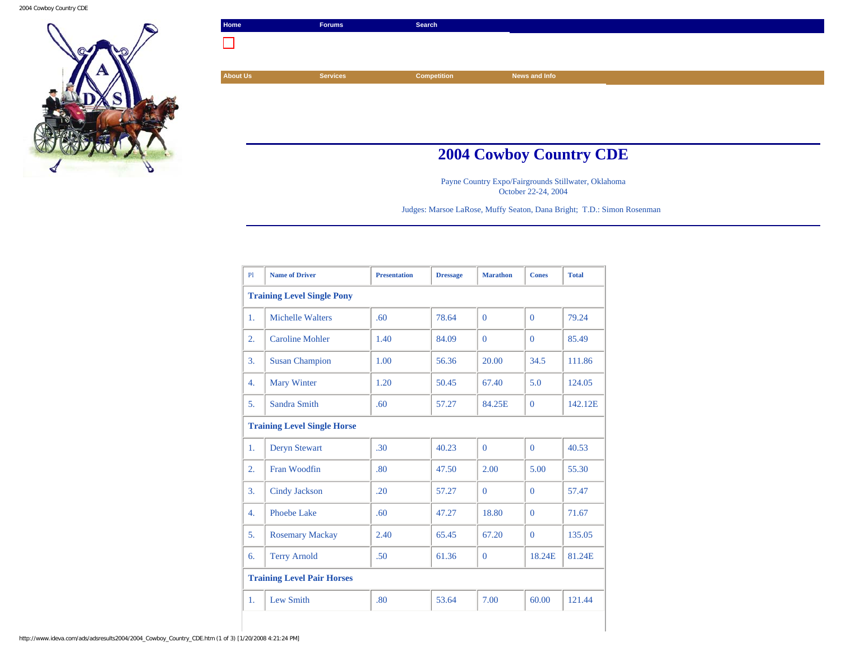2004 Cowboy Country CDE



| Home            | <b>Forums</b>   | Search             |                                |  |
|-----------------|-----------------|--------------------|--------------------------------|--|
|                 |                 |                    |                                |  |
|                 |                 |                    |                                |  |
| <b>About Us</b> | <b>Services</b> | <b>Competition</b> | News and Info                  |  |
|                 |                 |                    |                                |  |
|                 |                 |                    |                                |  |
|                 |                 |                    |                                |  |
|                 |                 |                    |                                |  |
|                 |                 |                    | <b>2004 Cowboy Country CDE</b> |  |

Payne Country Expo/Fairgrounds Stillwater, Oklahoma October 22-24, 2004

Judges: Marsoe LaRose, Muffy Seaton, Dana Bright; T.D.: Simon Rosenman

| P1               | <b>Name of Driver</b>              | <b>Presentation</b> | <b>Dressage</b> | <b>Marathon</b> | <b>Cones</b> | <b>Total</b> |  |  |
|------------------|------------------------------------|---------------------|-----------------|-----------------|--------------|--------------|--|--|
|                  | <b>Training Level Single Pony</b>  |                     |                 |                 |              |              |  |  |
| $\mathbf{1}$ .   | <b>Michelle Walters</b>            | .60 <sub>1</sub>    | 78.64           | $\Omega$        | $\Omega$     | 79.24        |  |  |
| 2.               | <b>Caroline Mohler</b>             | 1.40                | 84.09           | $\Omega$        | $\Omega$     | 85.49        |  |  |
| 3.               | <b>Susan Champion</b>              | 1.00                | 56.36           | 20.00           | 34.5         | 111.86       |  |  |
| 4.               | <b>Mary Winter</b>                 | 1.20                | 50.45           | 67.40           | 5.0          | 124.05       |  |  |
| 5.               | Sandra Smith                       | .60                 | 57.27           | 84.25E          | $\mathbf{0}$ | 142.12E      |  |  |
|                  | <b>Training Level Single Horse</b> |                     |                 |                 |              |              |  |  |
| 1.               | <b>Deryn Stewart</b>               | .30                 | 40.23           | $\Omega$        | $\Omega$     | 40.53        |  |  |
| 2.               | Fran Woodfin                       | .80                 | 47.50           | 2.00            | 5.00         | 55.30        |  |  |
| 3.               | Cindy Jackson                      | .20                 | 57.27           | $\Omega$        | $\Omega$     | 57.47        |  |  |
| $\overline{4}$ . | Phoebe Lake                        | .60 <sub>1</sub>    | 47.27           | 18.80           | $\Omega$     | 71.67        |  |  |
| 5.               | <b>Rosemary Mackay</b>             | 2.40                | 65.45           | 67.20           | $\Omega$     | 135.05       |  |  |
| 6.               | <b>Terry Arnold</b>                | .50                 | 61.36           | $\mathbf{0}$    | 18.24E       | 81.24E       |  |  |
|                  | <b>Training Level Pair Horses</b>  |                     |                 |                 |              |              |  |  |
| 1.               | Lew Smith                          | .80                 | 53.64           | 7.00            | 60.00        | 121.44       |  |  |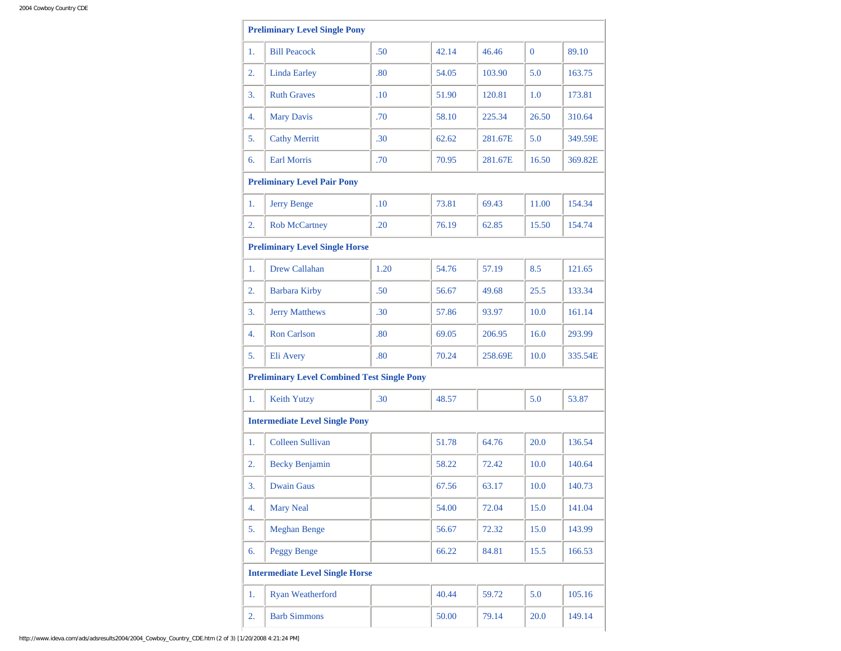|    | <b>Preliminary Level Single Pony</b>               |      |       |         |                |         |
|----|----------------------------------------------------|------|-------|---------|----------------|---------|
| 1. | <b>Bill Peacock</b>                                | .50  | 42.14 | 46.46   | $\overline{0}$ | 89.10   |
| 2. | <b>Linda Earley</b>                                | .80  | 54.05 | 103.90  | 5.0            | 163.75  |
| 3. | <b>Ruth Graves</b>                                 | .10  | 51.90 | 120.81  | 1.0            | 173.81  |
| 4. | <b>Mary Davis</b>                                  | .70  | 58.10 | 225.34  | 26.50          | 310.64  |
| 5. | <b>Cathy Merritt</b>                               | .30  | 62.62 | 281.67E | 5.0            | 349.59E |
| 6. | <b>Earl Morris</b>                                 | .70  | 70.95 | 281.67E | 16.50          | 369.82E |
|    | <b>Preliminary Level Pair Pony</b>                 |      |       |         |                |         |
| 1. | <b>Jerry Benge</b>                                 | .10  | 73.81 | 69.43   | 11.00          | 154.34  |
| 2. | <b>Rob McCartney</b>                               | .20  | 76.19 | 62.85   | 15.50          | 154.74  |
|    | <b>Preliminary Level Single Horse</b>              |      |       |         |                |         |
| 1. | <b>Drew Callahan</b>                               | 1.20 | 54.76 | 57.19   | 8.5            | 121.65  |
| 2. | <b>Barbara Kirby</b>                               | .50  | 56.67 | 49.68   | 25.5           | 133.34  |
| 3. | <b>Jerry Matthews</b>                              | .30  | 57.86 | 93.97   | 10.0           | 161.14  |
| 4. | <b>Ron Carlson</b>                                 | .80  | 69.05 | 206.95  | 16.0           | 293.99  |
| 5. | Eli Avery                                          | .80  | 70.24 | 258.69E | 10.0           | 335.54E |
|    | <b>Preliminary Level Combined Test Single Pony</b> |      |       |         |                |         |
| 1. | <b>Keith Yutzy</b>                                 | .30  | 48.57 |         | 5.0            | 53.87   |
|    | <b>Intermediate Level Single Pony</b>              |      |       |         |                |         |
| 1. | <b>Colleen Sullivan</b>                            |      | 51.78 | 64.76   | 20.0           | 136.54  |
| 2. | <b>Becky Benjamin</b>                              |      | 58.22 | 72.42   | 10.0           | 140.64  |
| 3. | <b>Dwain Gaus</b>                                  |      | 67.56 | 63.17   | 10.0           | 140.73  |
| 4. | <b>Mary Neal</b>                                   |      | 54.00 | 72.04   | 15.0           | 141.04  |
| 5. | <b>Meghan Benge</b>                                |      | 56.67 | 72.32   | 15.0           | 143.99  |
| 6. | <b>Peggy Benge</b>                                 |      | 66.22 | 84.81   | 15.5           | 166.53  |
|    | <b>Intermediate Level Single Horse</b>             |      |       |         |                |         |
| 1. | <b>Ryan Weatherford</b>                            |      | 40.44 | 59.72   | 5.0            | 105.16  |
| 2. | <b>Barb Simmons</b>                                |      | 50.00 | 79.14   | 20.0           | 149.14  |
|    |                                                    |      |       |         |                |         |